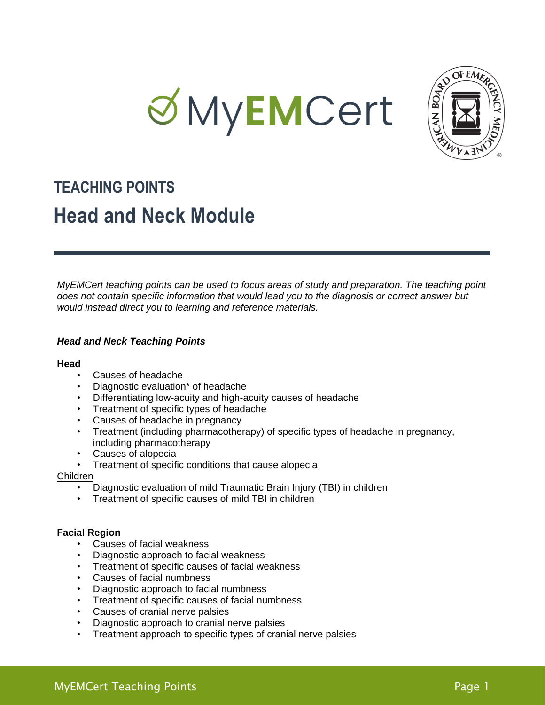



# **TEACHING POINTS Head and Neck Module**

*MyEMCert teaching points can be used to focus areas of study and preparation. The teaching point does not contain specific information that would lead you to the diagnosis or correct answer but would instead direct you to learning and reference materials.*

# *Head and Neck Teaching Points*

#### **Head**

- Causes of headache
- Diagnostic evaluation<sup>\*</sup> of headache
- Differentiating low-acuity and high-acuity causes of headache
- Treatment of specific types of headache
- Causes of headache in pregnancy
- Treatment (including pharmacotherapy) of specific types of headache in pregnancy, including pharmacotherapy
- Causes of alopecia
- Treatment of specific conditions that cause alopecia

#### Children

- Diagnostic evaluation of mild Traumatic Brain Injury (TBI) in children
- Treatment of specific causes of mild TBI in children

#### **Facial Region**

- Causes of facial weakness
- Diagnostic approach to facial weakness
- Treatment of specific causes of facial weakness
- Causes of facial numbness
- Diagnostic approach to facial numbness
- Treatment of specific causes of facial numbness
- Causes of cranial nerve palsies
- Diagnostic approach to cranial nerve palsies
- Treatment approach to specific types of cranial nerve palsies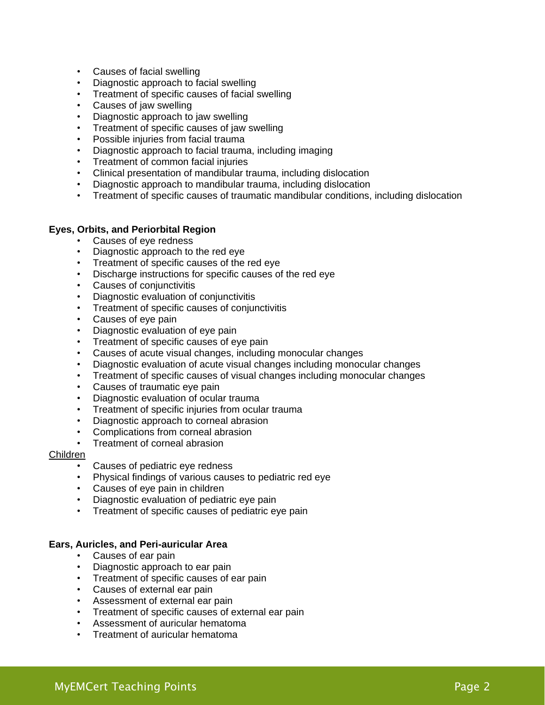- Causes of facial swelling
- Diagnostic approach to facial swelling
- Treatment of specific causes of facial swelling
- Causes of jaw swelling
- Diagnostic approach to jaw swelling
- Treatment of specific causes of jaw swelling
- Possible injuries from facial trauma
- Diagnostic approach to facial trauma, including imaging
- Treatment of common facial injuries
- Clinical presentation of mandibular trauma, including dislocation
- Diagnostic approach to mandibular trauma, including dislocation
- Treatment of specific causes of traumatic mandibular conditions, including dislocation

#### **Eyes, Orbits, and Periorbital Region**

- Causes of eye redness
- Diagnostic approach to the red eye
- Treatment of specific causes of the red eye
- Discharge instructions for specific causes of the red eye
- Causes of conjunctivitis
- Diagnostic evaluation of conjunctivitis
- Treatment of specific causes of conjunctivitis
- Causes of eye pain
- Diagnostic evaluation of eye pain
- Treatment of specific causes of eye pain
- Causes of acute visual changes, including monocular changes
- Diagnostic evaluation of acute visual changes including monocular changes
- Treatment of specific causes of visual changes including monocular changes
- Causes of traumatic eye pain
- Diagnostic evaluation of ocular trauma
- Treatment of specific injuries from ocular trauma
- Diagnostic approach to corneal abrasion
- Complications from corneal abrasion
- Treatment of corneal abrasion

## Children

- Causes of pediatric eye redness
- Physical findings of various causes to pediatric red eye
- Causes of eye pain in children
- Diagnostic evaluation of pediatric eye pain
- Treatment of specific causes of pediatric eye pain

#### **Ears, Auricles, and Peri-auricular Area**

- Causes of ear pain
- Diagnostic approach to ear pain
- Treatment of specific causes of ear pain
- Causes of external ear pain
- Assessment of external ear pain
- Treatment of specific causes of external ear pain
- Assessment of auricular hematoma
- Treatment of auricular hematoma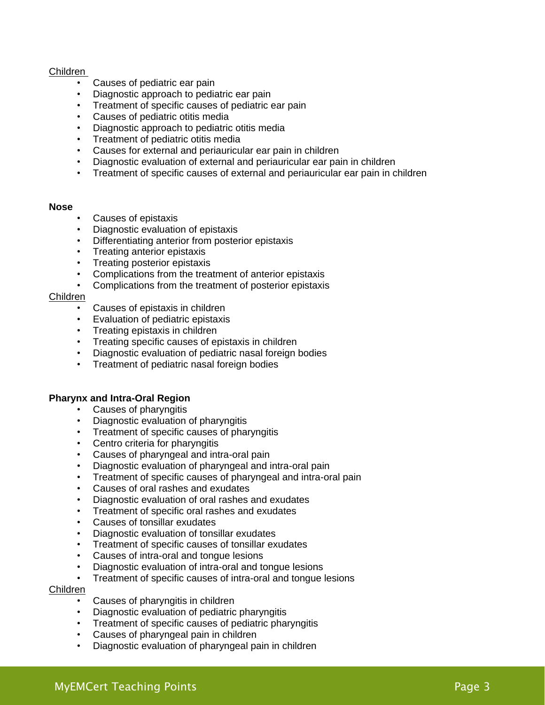## Children

- Causes of pediatric ear pain
- Diagnostic approach to pediatric ear pain
- Treatment of specific causes of pediatric ear pain
- Causes of pediatric otitis media
- Diagnostic approach to pediatric otitis media
- Treatment of pediatric otitis media
- Causes for external and periauricular ear pain in children
- Diagnostic evaluation of external and periauricular ear pain in children
- Treatment of specific causes of external and periauricular ear pain in children

#### **Nose**

- Causes of epistaxis
- Diagnostic evaluation of epistaxis
- Differentiating anterior from posterior epistaxis
- Treating anterior epistaxis
- Treating posterior epistaxis
- Complications from the treatment of anterior epistaxis
- Complications from the treatment of posterior epistaxis

#### Children

- Causes of epistaxis in children
- Evaluation of pediatric epistaxis
- Treating epistaxis in children
- Treating specific causes of epistaxis in children
- Diagnostic evaluation of pediatric nasal foreign bodies
- Treatment of pediatric nasal foreign bodies

#### **Pharynx and Intra-Oral Region**

- Causes of pharyngitis
- Diagnostic evaluation of pharyngitis
- Treatment of specific causes of pharyngitis
- Centro criteria for pharyngitis
- Causes of pharyngeal and intra-oral pain
- Diagnostic evaluation of pharyngeal and intra-oral pain
- Treatment of specific causes of pharyngeal and intra-oral pain
- Causes of oral rashes and exudates
- Diagnostic evaluation of oral rashes and exudates
- Treatment of specific oral rashes and exudates
- Causes of tonsillar exudates
- Diagnostic evaluation of tonsillar exudates
- Treatment of specific causes of tonsillar exudates
- Causes of intra-oral and tongue lesions
- Diagnostic evaluation of intra-oral and tongue lesions
- Treatment of specific causes of intra-oral and tongue lesions

#### Children

- Causes of pharyngitis in children
- Diagnostic evaluation of pediatric pharyngitis
- Treatment of specific causes of pediatric pharyngitis
- Causes of pharyngeal pain in children
- Diagnostic evaluation of pharyngeal pain in children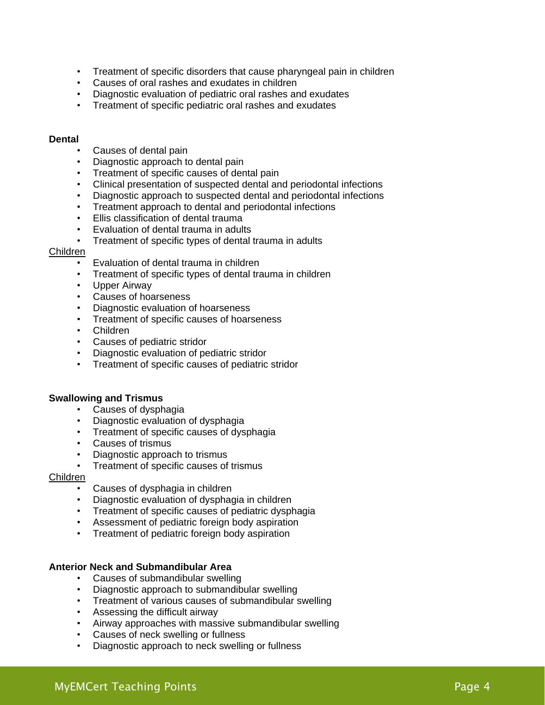- Treatment of specific disorders that cause pharyngeal pain in children
- Causes of oral rashes and exudates in children
- Diagnostic evaluation of pediatric oral rashes and exudates
- Treatment of specific pediatric oral rashes and exudates

#### **Dental**

- Causes of dental pain
- Diagnostic approach to dental pain
- Treatment of specific causes of dental pain
- Clinical presentation of suspected dental and periodontal infections
- Diagnostic approach to suspected dental and periodontal infections
- Treatment approach to dental and periodontal infections
- Ellis classification of dental trauma
- Evaluation of dental trauma in adults
- Treatment of specific types of dental trauma in adults

#### Children

- Evaluation of dental trauma in children
- Treatment of specific types of dental trauma in children
- Upper Airway
- Causes of hoarseness
- Diagnostic evaluation of hoarseness
- Treatment of specific causes of hoarseness
- Children
- Causes of pediatric stridor
- Diagnostic evaluation of pediatric stridor
- Treatment of specific causes of pediatric stridor

#### **Swallowing and Trismus**

- Causes of dysphagia
- Diagnostic evaluation of dysphagia
- Treatment of specific causes of dysphagia
- Causes of trismus
- Diagnostic approach to trismus
- Treatment of specific causes of trismus

#### Children

- Causes of dysphagia in children
- Diagnostic evaluation of dysphagia in children
- Treatment of specific causes of pediatric dysphagia
- Assessment of pediatric foreign body aspiration
- Treatment of pediatric foreign body aspiration

#### **Anterior Neck and Submandibular Area**

- Causes of submandibular swelling
- Diagnostic approach to submandibular swelling
- Treatment of various causes of submandibular swelling
- Assessing the difficult airway
- Airway approaches with massive submandibular swelling
- Causes of neck swelling or fullness
- Diagnostic approach to neck swelling or fullness